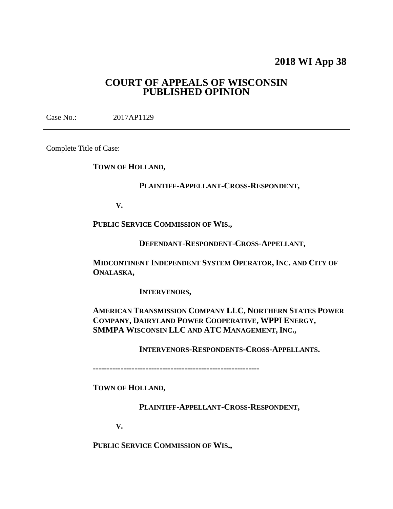# **2018 WI App 38**

## **COURT OF APPEALS OF WISCONSIN PUBLISHED OPINION**

Case No.: 2017AP1129

Complete Title of Case:

**TOWN OF HOLLAND,**

### **PLAINTIFF-APPELLANT-CROSS-RESPONDENT,**

**V.**

**PUBLIC SERVICE COMMISSION OF WIS.,**

**DEFENDANT-RESPONDENT-CROSS-APPELLANT,**

**MIDCONTINENT INDEPENDENT SYSTEM OPERATOR, INC. AND CITY OF ONALASKA,**

**INTERVENORS,**

**AMERICAN TRANSMISSION COMPANY LLC, NORTHERN STATES POWER COMPANY, DAIRYLAND POWER COOPERATIVE, WPPI ENERGY, SMMPA WISCONSIN LLC AND ATC MANAGEMENT, INC.,**

**INTERVENORS-RESPONDENTS-CROSS-APPELLANTS.**

**------------------------------------------------------------**

**TOWN OF HOLLAND,**

**PLAINTIFF-APPELLANT-CROSS-RESPONDENT,**

**V.**

**PUBLIC SERVICE COMMISSION OF WIS.,**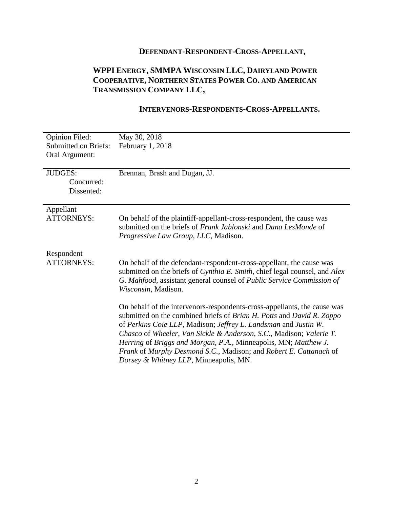# **DEFENDANT-RESPONDENT-CROSS-APPELLANT,**

# **WPPI ENERGY, SMMPA WISCONSIN LLC, DAIRYLAND POWER COOPERATIVE, NORTHERN STATES POWER CO. AND AMERICAN TRANSMISSION COMPANY LLC,**

### **INTERVENORS-RESPONDENTS-CROSS-APPELLANTS.**

| <b>Opinion Filed:</b>       | May 30, 2018                                                               |
|-----------------------------|----------------------------------------------------------------------------|
| <b>Submitted on Briefs:</b> | February 1, 2018                                                           |
| Oral Argument:              |                                                                            |
|                             |                                                                            |
| <b>JUDGES:</b>              | Brennan, Brash and Dugan, JJ.                                              |
| Concurred:                  |                                                                            |
| Dissented:                  |                                                                            |
|                             |                                                                            |
| Appellant                   |                                                                            |
| <b>ATTORNEYS:</b>           | On behalf of the plaintiff-appellant-cross-respondent, the cause was       |
|                             | submitted on the briefs of Frank Jablonski and Dana LesMonde of            |
|                             | Progressive Law Group, LLC, Madison.                                       |
|                             |                                                                            |
| Respondent                  |                                                                            |
| <b>ATTORNEYS:</b>           | On behalf of the defendant-respondent-cross-appellant, the cause was       |
|                             | submitted on the briefs of Cynthia E. Smith, chief legal counsel, and Alex |
|                             | G. Mahfood, assistant general counsel of Public Service Commission of      |
|                             | Wisconsin, Madison.                                                        |
|                             |                                                                            |
|                             | On behalf of the intervenors-respondents-cross-appellants, the cause was   |
|                             | submitted on the combined briefs of Brian H. Potts and David R. Zoppo      |
|                             | of Perkins Coie LLP, Madison; Jeffrey L. Landsman and Justin W.            |
|                             | Chasco of Wheeler, Van Sickle & Anderson, S.C., Madison; Valerie T.        |
|                             | Herring of Briggs and Morgan, P.A., Minneapolis, MN; Matthew J.            |
|                             |                                                                            |
|                             | Frank of Murphy Desmond S.C., Madison; and Robert E. Cattanach of          |
|                             | Dorsey & Whitney LLP, Minneapolis, MN.                                     |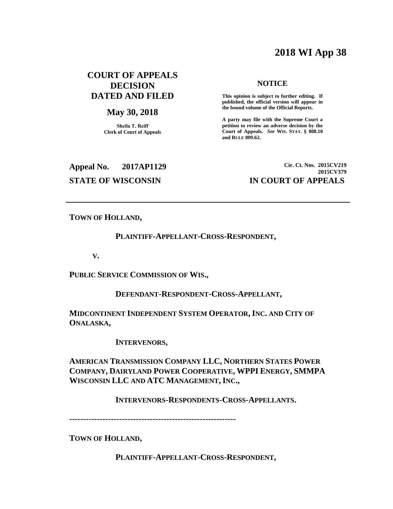# **2018 WI App 38**

### **COURT OF APPEALS DECISION DATED AND FILED**

#### **May 30, 2018**

**Sheila T. Reiff Clerk of Court of Appeals**

#### **NOTICE**

**This opinion is subject to further editing. If published, the official version will appear in the bound volume of the Official Reports.** 

**A party may file with the Supreme Court a petition to review an adverse decision by the Court of Appeals.** *See* **WIS. STAT. § 808.10 and RULE 809.62.** 

**Appeal No. 2017AP1129 Cir. Ct. Nos. 2015CV219 2015CV379 STATE OF WISCONSIN IN COURT OF APPEALS**

**TOWN OF HOLLAND,**

#### **PLAINTIFF-APPELLANT-CROSS-RESPONDENT,**

**V.**

**PUBLIC SERVICE COMMISSION OF WIS.,**

**DEFENDANT-RESPONDENT-CROSS-APPELLANT,**

**MIDCONTINENT INDEPENDENT SYSTEM OPERATOR, INC. AND CITY OF ONALASKA,**

**INTERVENORS,**

**AMERICAN TRANSMISSION COMPANY LLC, NORTHERN STATES POWER COMPANY, DAIRYLAND POWER COOPERATIVE, WPPI ENERGY, SMMPA WISCONSIN LLC AND ATC MANAGEMENT, INC.,**

**INTERVENORS-RESPONDENTS-CROSS-APPELLANTS.**

**------------------------------------------------------------**

**TOWN OF HOLLAND,**

**PLAINTIFF-APPELLANT-CROSS-RESPONDENT,**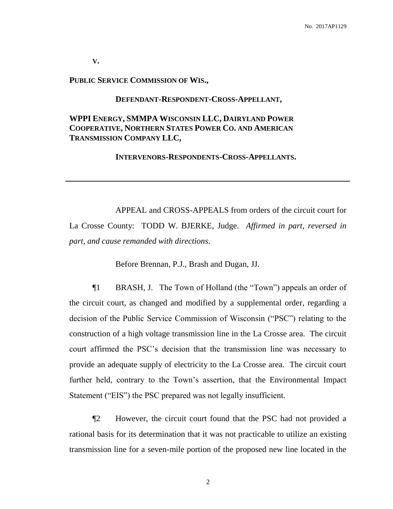**V.**

#### **PUBLIC SERVICE COMMISSION OF WIS.,**

#### **DEFENDANT-RESPONDENT-CROSS-APPELLANT,**

### **WPPI ENERGY, SMMPA WISCONSIN LLC, DAIRYLAND POWER COOPERATIVE, NORTHERN STATES POWER CO. AND AMERICAN TRANSMISSION COMPANY LLC,**

#### **INTERVENORS-RESPONDENTS-CROSS-APPELLANTS.**

APPEAL and CROSS-APPEALS from orders of the circuit court for La Crosse County: TODD W. BJERKE, Judge. *Affirmed in part, reversed in part, and cause remanded with directions*.

Before Brennan, P.J., Brash and Dugan, JJ.

¶1 BRASH, J. The Town of Holland (the "Town") appeals an order of the circuit court, as changed and modified by a supplemental order, regarding a decision of the Public Service Commission of Wisconsin ("PSC") relating to the construction of a high voltage transmission line in the La Crosse area. The circuit court affirmed the PSC's decision that the transmission line was necessary to provide an adequate supply of electricity to the La Crosse area. The circuit court further held, contrary to the Town's assertion, that the Environmental Impact Statement ("EIS") the PSC prepared was not legally insufficient.

¶2 However, the circuit court found that the PSC had not provided a rational basis for its determination that it was not practicable to utilize an existing transmission line for a seven-mile portion of the proposed new line located in the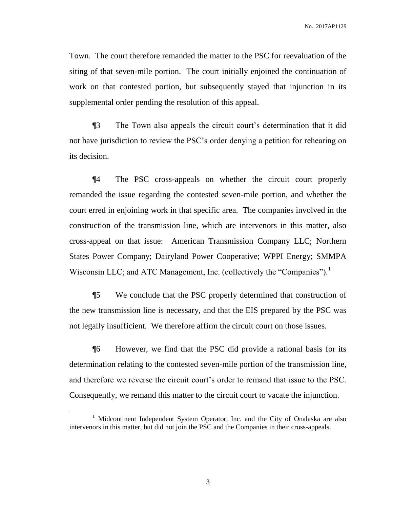Town. The court therefore remanded the matter to the PSC for reevaluation of the siting of that seven-mile portion. The court initially enjoined the continuation of work on that contested portion, but subsequently stayed that injunction in its supplemental order pending the resolution of this appeal.

¶3 The Town also appeals the circuit court's determination that it did not have jurisdiction to review the PSC's order denying a petition for rehearing on its decision.

¶4 The PSC cross-appeals on whether the circuit court properly remanded the issue regarding the contested seven-mile portion, and whether the court erred in enjoining work in that specific area. The companies involved in the construction of the transmission line, which are intervenors in this matter, also cross-appeal on that issue: American Transmission Company LLC; Northern States Power Company; Dairyland Power Cooperative; WPPI Energy; SMMPA Wisconsin LLC; and ATC Management, Inc. (collectively the "Companies").<sup>1</sup>

¶5 We conclude that the PSC properly determined that construction of the new transmission line is necessary, and that the EIS prepared by the PSC was not legally insufficient. We therefore affirm the circuit court on those issues.

¶6 However, we find that the PSC did provide a rational basis for its determination relating to the contested seven-mile portion of the transmission line, and therefore we reverse the circuit court's order to remand that issue to the PSC. Consequently, we remand this matter to the circuit court to vacate the injunction.

 $\overline{a}$ 

<sup>&</sup>lt;sup>1</sup> Midcontinent Independent System Operator, Inc. and the City of Onalaska are also intervenors in this matter, but did not join the PSC and the Companies in their cross-appeals.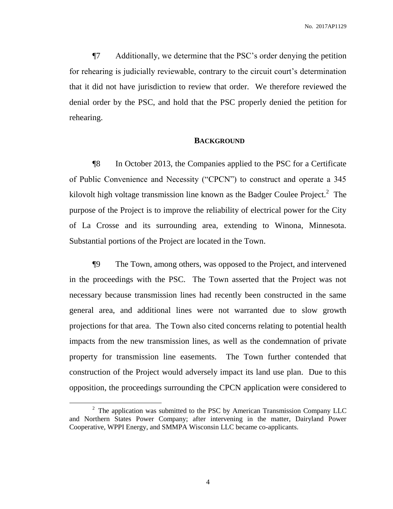¶7 Additionally, we determine that the PSC's order denying the petition for rehearing is judicially reviewable, contrary to the circuit court's determination that it did not have jurisdiction to review that order. We therefore reviewed the denial order by the PSC, and hold that the PSC properly denied the petition for rehearing.

#### **BACKGROUND**

¶8 In October 2013, the Companies applied to the PSC for a Certificate of Public Convenience and Necessity ("CPCN") to construct and operate a 345 kilovolt high voltage transmission line known as the Badger Coulee Project. $2$  The purpose of the Project is to improve the reliability of electrical power for the City of La Crosse and its surrounding area, extending to Winona, Minnesota. Substantial portions of the Project are located in the Town.

¶9 The Town, among others, was opposed to the Project, and intervened in the proceedings with the PSC. The Town asserted that the Project was not necessary because transmission lines had recently been constructed in the same general area, and additional lines were not warranted due to slow growth projections for that area. The Town also cited concerns relating to potential health impacts from the new transmission lines, as well as the condemnation of private property for transmission line easements. The Town further contended that construction of the Project would adversely impact its land use plan. Due to this opposition, the proceedings surrounding the CPCN application were considered to

 $\overline{a}$ 

 $2$  The application was submitted to the PSC by American Transmission Company LLC and Northern States Power Company; after intervening in the matter, Dairyland Power Cooperative, WPPI Energy, and SMMPA Wisconsin LLC became co-applicants.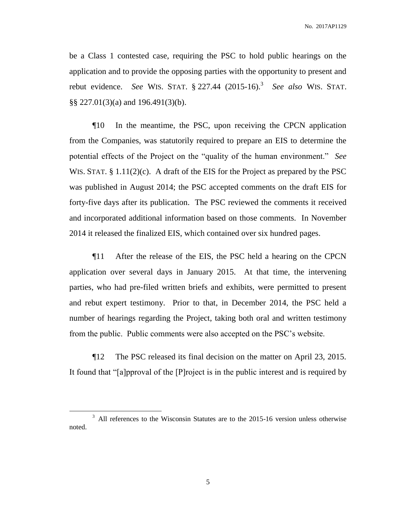be a Class 1 contested case, requiring the PSC to hold public hearings on the application and to provide the opposing parties with the opportunity to present and rebut evidence. *See* WIS. STAT. § 227.44 (2015-16).<sup>3</sup> *See also* WIS. STAT. §§ 227.01(3)(a) and 196.491(3)(b).

¶10 In the meantime, the PSC, upon receiving the CPCN application from the Companies, was statutorily required to prepare an EIS to determine the potential effects of the Project on the "quality of the human environment." *See* WIS. STAT. § 1.11(2)(c). A draft of the EIS for the Project as prepared by the PSC was published in August 2014; the PSC accepted comments on the draft EIS for forty-five days after its publication. The PSC reviewed the comments it received and incorporated additional information based on those comments. In November 2014 it released the finalized EIS, which contained over six hundred pages.

¶11 After the release of the EIS, the PSC held a hearing on the CPCN application over several days in January 2015. At that time, the intervening parties, who had pre-filed written briefs and exhibits, were permitted to present and rebut expert testimony. Prior to that, in December 2014, the PSC held a number of hearings regarding the Project, taking both oral and written testimony from the public. Public comments were also accepted on the PSC's website.

¶12 The PSC released its final decision on the matter on April 23, 2015. It found that "[a]pproval of the [P]roject is in the public interest and is required by

<sup>&</sup>lt;sup>3</sup> All references to the Wisconsin Statutes are to the 2015-16 version unless otherwise noted.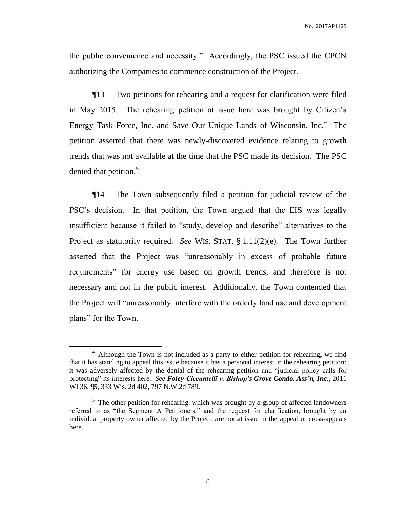the public convenience and necessity." Accordingly, the PSC issued the CPCN authorizing the Companies to commence construction of the Project.

¶13 Two petitions for rehearing and a request for clarification were filed in May 2015. The rehearing petition at issue here was brought by Citizen's Energy Task Force, Inc. and Save Our Unique Lands of Wisconsin, Inc.<sup>4</sup> The petition asserted that there was newly-discovered evidence relating to growth trends that was not available at the time that the PSC made its decision. The PSC denied that petition. 5

¶14 The Town subsequently filed a petition for judicial review of the PSC's decision. In that petition, the Town argued that the EIS was legally insufficient because it failed to "study, develop and describe" alternatives to the Project as statutorily required. *See* WIS. STAT. § 1.11(2)(e). The Town further asserted that the Project was "unreasonably in excess of probable future requirements" for energy use based on growth trends, and therefore is not necessary and not in the public interest. Additionally, the Town contended that the Project will "unreasonably interfere with the orderly land use and development plans" for the Town.

<sup>&</sup>lt;sup>4</sup> Although the Town is not included as a party to either petition for rehearing, we find that it has standing to appeal this issue because it has a personal interest in the rehearing petition: it was adversely affected by the denial of the rehearing petition and "judicial policy calls for protecting" its interests here. *See Foley-Ciccantelli v. Bishop's Grove Condo. Ass'n, Inc.*, 2011 WI 36, ¶5, 333 Wis. 2d 402, 797 N.W.2d 789.

 $5$  The other petition for rehearing, which was brought by a group of affected landowners referred to as "the Segment A Petitioners," and the request for clarification, brought by an individual property owner affected by the Project, are not at issue in the appeal or cross-appeals here.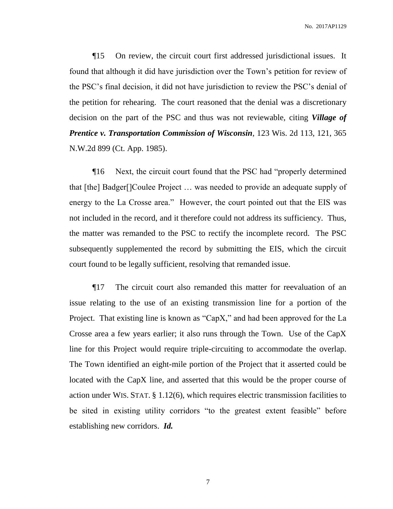No. 2017AP1129

¶15 On review, the circuit court first addressed jurisdictional issues. It found that although it did have jurisdiction over the Town's petition for review of the PSC's final decision, it did not have jurisdiction to review the PSC's denial of the petition for rehearing. The court reasoned that the denial was a discretionary decision on the part of the PSC and thus was not reviewable, citing *Village of Prentice v. Transportation Commission of Wisconsin*, 123 Wis. 2d 113, 121, 365 N.W.2d 899 (Ct. App. 1985).

¶16 Next, the circuit court found that the PSC had "properly determined that [the] Badger[]Coulee Project … was needed to provide an adequate supply of energy to the La Crosse area." However, the court pointed out that the EIS was not included in the record, and it therefore could not address its sufficiency. Thus, the matter was remanded to the PSC to rectify the incomplete record. The PSC subsequently supplemented the record by submitting the EIS, which the circuit court found to be legally sufficient, resolving that remanded issue.

¶17 The circuit court also remanded this matter for reevaluation of an issue relating to the use of an existing transmission line for a portion of the Project. That existing line is known as "CapX," and had been approved for the La Crosse area a few years earlier; it also runs through the Town. Use of the CapX line for this Project would require triple-circuiting to accommodate the overlap. The Town identified an eight-mile portion of the Project that it asserted could be located with the CapX line, and asserted that this would be the proper course of action under WIS. STAT. § 1.12(6), which requires electric transmission facilities to be sited in existing utility corridors "to the greatest extent feasible" before establishing new corridors. *Id.*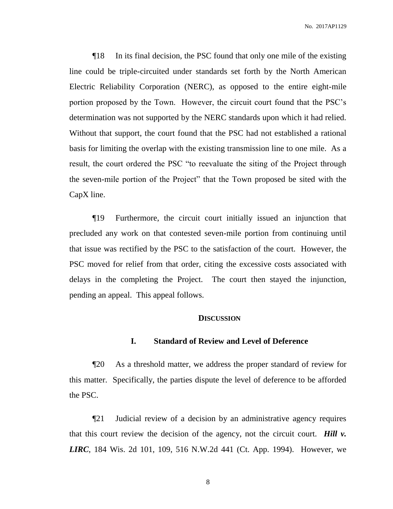¶18 In its final decision, the PSC found that only one mile of the existing line could be triple-circuited under standards set forth by the North American Electric Reliability Corporation (NERC), as opposed to the entire eight-mile portion proposed by the Town. However, the circuit court found that the PSC's determination was not supported by the NERC standards upon which it had relied. Without that support, the court found that the PSC had not established a rational basis for limiting the overlap with the existing transmission line to one mile. As a result, the court ordered the PSC "to reevaluate the siting of the Project through the seven-mile portion of the Project" that the Town proposed be sited with the CapX line.

¶19 Furthermore, the circuit court initially issued an injunction that precluded any work on that contested seven-mile portion from continuing until that issue was rectified by the PSC to the satisfaction of the court. However, the PSC moved for relief from that order, citing the excessive costs associated with delays in the completing the Project. The court then stayed the injunction, pending an appeal. This appeal follows.

#### **DISCUSSION**

#### **I. Standard of Review and Level of Deference**

¶20 As a threshold matter, we address the proper standard of review for this matter. Specifically, the parties dispute the level of deference to be afforded the PSC.

¶21 Judicial review of a decision by an administrative agency requires that this court review the decision of the agency, not the circuit court. *Hill v. LIRC*, 184 Wis. 2d 101, 109, 516 N.W.2d 441 (Ct. App. 1994). However, we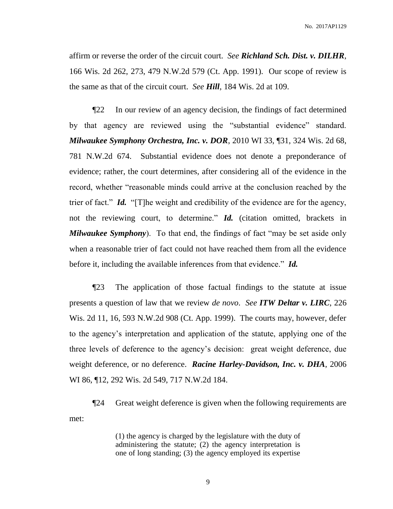No. 2017AP1129

affirm or reverse the order of the circuit court. *See Richland Sch. Dist. v. DILHR*, 166 Wis. 2d 262, 273, 479 N.W.2d 579 (Ct. App. 1991). Our scope of review is the same as that of the circuit court. *See Hill*, 184 Wis. 2d at 109.

¶22 In our review of an agency decision, the findings of fact determined by that agency are reviewed using the "substantial evidence" standard. *Milwaukee Symphony Orchestra, Inc. v. DOR*, 2010 WI 33, ¶31, 324 Wis. 2d 68, 781 N.W.2d 674. Substantial evidence does not denote a preponderance of evidence; rather, the court determines, after considering all of the evidence in the record, whether "reasonable minds could arrive at the conclusion reached by the trier of fact." *Id.* "[T]he weight and credibility of the evidence are for the agency, not the reviewing court, to determine." *Id.* (citation omitted, brackets in *Milwaukee Symphony*). To that end, the findings of fact "may be set aside only when a reasonable trier of fact could not have reached them from all the evidence before it, including the available inferences from that evidence." *Id.*

¶23 The application of those factual findings to the statute at issue presents a question of law that we review *de novo*. *See ITW Deltar v. LIRC*, 226 Wis. 2d 11, 16, 593 N.W.2d 908 (Ct. App. 1999). The courts may, however, defer to the agency's interpretation and application of the statute, applying one of the three levels of deference to the agency's decision: great weight deference, due weight deference, or no deference. *Racine Harley-Davidson, Inc. v. DHA*, 2006 WI 86, ¶12, 292 Wis. 2d 549, 717 N.W.2d 184.

¶24 Great weight deference is given when the following requirements are met:

> (1) the agency is charged by the legislature with the duty of administering the statute; (2) the agency interpretation is one of long standing; (3) the agency employed its expertise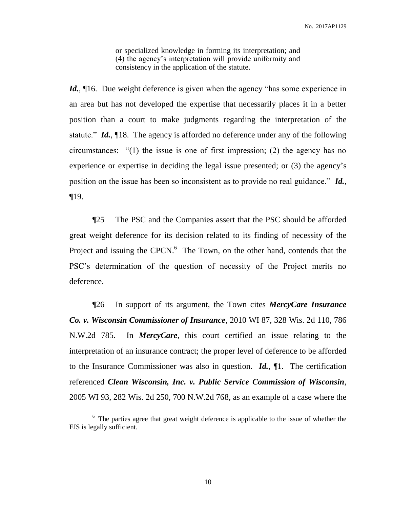or specialized knowledge in forming its interpretation; and (4) the agency's interpretation will provide uniformity and consistency in the application of the statute.

*Id.*, 16. Due weight deference is given when the agency "has some experience in an area but has not developed the expertise that necessarily places it in a better position than a court to make judgments regarding the interpretation of the statute." *Id.*, ¶18. The agency is afforded no deference under any of the following circumstances: "(1) the issue is one of first impression; (2) the agency has no experience or expertise in deciding the legal issue presented; or (3) the agency's position on the issue has been so inconsistent as to provide no real guidance." *Id.*, ¶19.

¶25 The PSC and the Companies assert that the PSC should be afforded great weight deference for its decision related to its finding of necessity of the Project and issuing the CPCN.<sup>6</sup> The Town, on the other hand, contends that the PSC's determination of the question of necessity of the Project merits no deference.

¶26 In support of its argument, the Town cites *MercyCare Insurance Co. v. Wisconsin Commissioner of Insurance*, 2010 WI 87, 328 Wis. 2d 110, 786 N.W.2d 785. In *MercyCare*, this court certified an issue relating to the interpretation of an insurance contract; the proper level of deference to be afforded to the Insurance Commissioner was also in question. *Id.*, ¶1. The certification referenced *Clean Wisconsin, Inc. v. Public Service Commission of Wisconsin*, 2005 WI 93, 282 Wis. 2d 250, 700 N.W.2d 768, as an example of a case where the

<sup>&</sup>lt;sup>6</sup> The parties agree that great weight deference is applicable to the issue of whether the EIS is legally sufficient.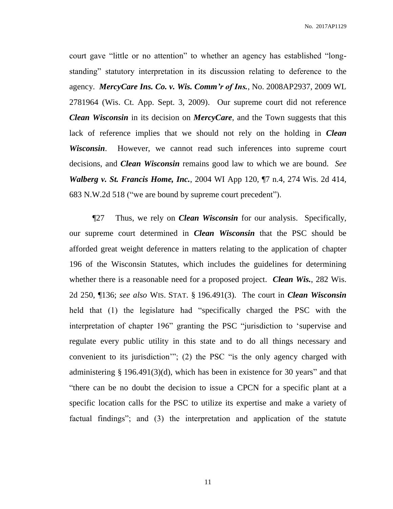court gave "little or no attention" to whether an agency has established "longstanding" statutory interpretation in its discussion relating to deference to the agency. *MercyCare Ins. Co. v. Wis. Comm'r of Ins.*, No. 2008AP2937, 2009 WL 2781964 (Wis. Ct. App. Sept. 3, 2009). Our supreme court did not reference *Clean Wisconsin* in its decision on *MercyCare*, and the Town suggests that this lack of reference implies that we should not rely on the holding in *Clean Wisconsin*. However, we cannot read such inferences into supreme court decisions, and *Clean Wisconsin* remains good law to which we are bound. *See Walberg v. St. Francis Home, Inc.*, 2004 WI App 120, ¶7 n.4, 274 Wis. 2d 414, 683 N.W.2d 518 ("we are bound by supreme court precedent").

¶27 Thus, we rely on *Clean Wisconsin* for our analysis. Specifically, our supreme court determined in *Clean Wisconsin* that the PSC should be afforded great weight deference in matters relating to the application of chapter 196 of the Wisconsin Statutes, which includes the guidelines for determining whether there is a reasonable need for a proposed project. *Clean Wis.*, 282 Wis. 2d 250, ¶136; *see also* WIS. STAT. § 196.491(3). The court in *Clean Wisconsin* held that (1) the legislature had "specifically charged the PSC with the interpretation of chapter 196" granting the PSC "jurisdiction to 'supervise and regulate every public utility in this state and to do all things necessary and convenient to its jurisdiction'"; (2) the PSC "is the only agency charged with administering § 196.491(3)(d), which has been in existence for 30 years" and that "there can be no doubt the decision to issue a CPCN for a specific plant at a specific location calls for the PSC to utilize its expertise and make a variety of factual findings"; and (3) the interpretation and application of the statute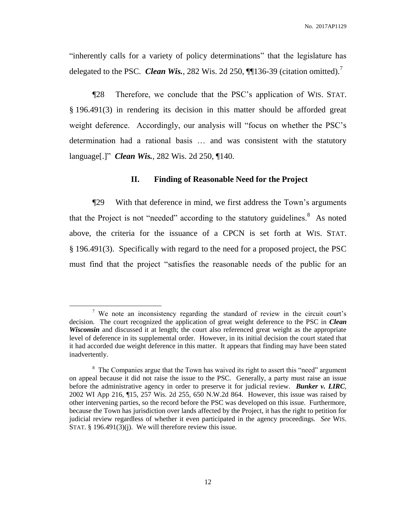"inherently calls for a variety of policy determinations" that the legislature has delegated to the PSC. *Clean Wis.*, 282 Wis. 2d 250, **[1]** 136-39 (citation omitted).<sup>7</sup>

¶28 Therefore, we conclude that the PSC's application of WIS. STAT. § 196.491(3) in rendering its decision in this matter should be afforded great weight deference. Accordingly, our analysis will "focus on whether the PSC's determination had a rational basis … and was consistent with the statutory language[.]" *Clean Wis.*, 282 Wis. 2d 250, ¶140.

#### **II. Finding of Reasonable Need for the Project**

¶29 With that deference in mind, we first address the Town's arguments that the Project is not "needed" according to the statutory guidelines.<sup>8</sup> As noted above, the criteria for the issuance of a CPCN is set forth at WIS. STAT. § 196.491(3). Specifically with regard to the need for a proposed project, the PSC must find that the project "satisfies the reasonable needs of the public for an

<sup>&</sup>lt;sup>7</sup> We note an inconsistency regarding the standard of review in the circuit court's decision. The court recognized the application of great weight deference to the PSC in *Clean Wisconsin* and discussed it at length; the court also referenced great weight as the appropriate level of deference in its supplemental order. However, in its initial decision the court stated that it had accorded due weight deference in this matter. It appears that finding may have been stated inadvertently.

<sup>&</sup>lt;sup>8</sup> The Companies argue that the Town has waived its right to assert this "need" argument on appeal because it did not raise the issue to the PSC. Generally, a party must raise an issue before the administrative agency in order to preserve it for judicial review. *Bunker v. LIRC*, 2002 WI App 216, ¶15, 257 Wis. 2d 255, 650 N.W.2d 864. However, this issue was raised by other intervening parties, so the record before the PSC was developed on this issue. Furthermore, because the Town has jurisdiction over lands affected by the Project, it has the right to petition for judicial review regardless of whether it even participated in the agency proceedings. *See* WIS. STAT. § 196.491(3)(j). We will therefore review this issue.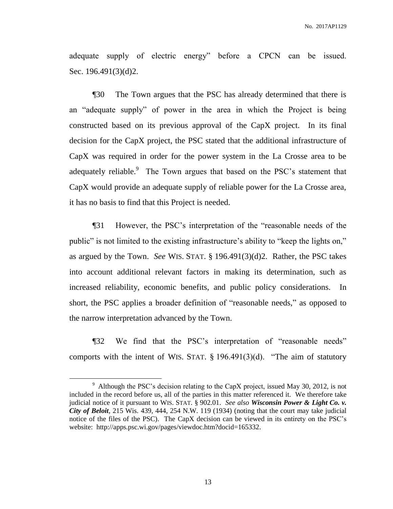adequate supply of electric energy" before a CPCN can be issued. Sec. 196.491(3)(d)2.

¶30 The Town argues that the PSC has already determined that there is an "adequate supply" of power in the area in which the Project is being constructed based on its previous approval of the CapX project. In its final decision for the CapX project, the PSC stated that the additional infrastructure of CapX was required in order for the power system in the La Crosse area to be adequately reliable.<sup>9</sup> The Town argues that based on the PSC's statement that CapX would provide an adequate supply of reliable power for the La Crosse area, it has no basis to find that this Project is needed.

¶31 However, the PSC's interpretation of the "reasonable needs of the public" is not limited to the existing infrastructure's ability to "keep the lights on," as argued by the Town. *See* WIS. STAT. § 196.491(3)(d)2. Rather, the PSC takes into account additional relevant factors in making its determination, such as increased reliability, economic benefits, and public policy considerations. In short, the PSC applies a broader definition of "reasonable needs," as opposed to the narrow interpretation advanced by the Town.

¶32 We find that the PSC's interpretation of "reasonable needs" comports with the intent of WIS. STAT.  $\S$  196.491(3)(d). "The aim of statutory

<sup>&</sup>lt;sup>9</sup> Although the PSC's decision relating to the CapX project, issued May 30, 2012, is not included in the record before us, all of the parties in this matter referenced it. We therefore take judicial notice of it pursuant to WIS. STAT. § 902.01. *See also Wisconsin Power & Light Co. v. City of Beloit*, 215 Wis. 439, 444, 254 N.W. 119 (1934) (noting that the court may take judicial notice of the files of the PSC). The CapX decision can be viewed in its entirety on the PSC's website: http://apps.psc.wi.gov/pages/viewdoc.htm?docid=165332.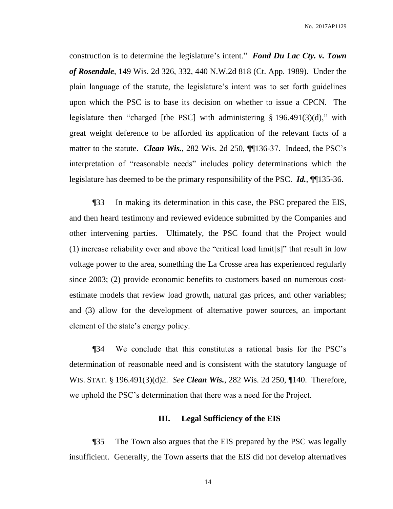No. 2017AP1129

construction is to determine the legislature's intent." *Fond Du Lac Cty. v. Town of Rosendale*, 149 Wis. 2d 326, 332, 440 N.W.2d 818 (Ct. App. 1989). Under the plain language of the statute, the legislature's intent was to set forth guidelines upon which the PSC is to base its decision on whether to issue a CPCN. The legislature then "charged [the PSC] with administering § 196.491(3)(d)," with great weight deference to be afforded its application of the relevant facts of a matter to the statute. *Clean Wis.*, 282 Wis. 2d 250, ¶¶136-37. Indeed, the PSC's interpretation of "reasonable needs" includes policy determinations which the legislature has deemed to be the primary responsibility of the PSC. *Id.*, ¶¶135-36.

¶33 In making its determination in this case, the PSC prepared the EIS, and then heard testimony and reviewed evidence submitted by the Companies and other intervening parties. Ultimately, the PSC found that the Project would (1) increase reliability over and above the "critical load limit[s]" that result in low voltage power to the area, something the La Crosse area has experienced regularly since 2003; (2) provide economic benefits to customers based on numerous costestimate models that review load growth, natural gas prices, and other variables; and (3) allow for the development of alternative power sources, an important element of the state's energy policy.

¶34 We conclude that this constitutes a rational basis for the PSC's determination of reasonable need and is consistent with the statutory language of WIS. STAT. § 196.491(3)(d)2. *See Clean Wis.*, 282 Wis. 2d 250, ¶140. Therefore, we uphold the PSC's determination that there was a need for the Project.

#### **III. Legal Sufficiency of the EIS**

¶35 The Town also argues that the EIS prepared by the PSC was legally insufficient. Generally, the Town asserts that the EIS did not develop alternatives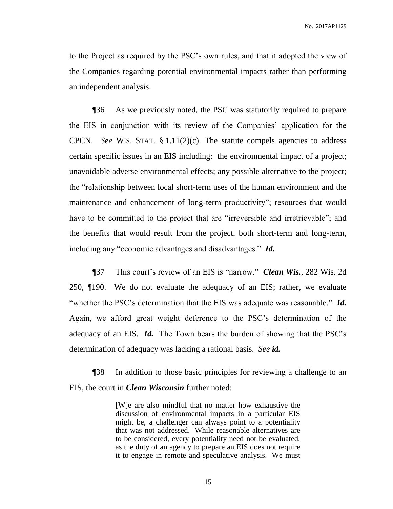to the Project as required by the PSC's own rules, and that it adopted the view of the Companies regarding potential environmental impacts rather than performing an independent analysis.

¶36 As we previously noted, the PSC was statutorily required to prepare the EIS in conjunction with its review of the Companies' application for the CPCN. *See* WIS. STAT. § 1.11(2)(c). The statute compels agencies to address certain specific issues in an EIS including: the environmental impact of a project; unavoidable adverse environmental effects; any possible alternative to the project; the "relationship between local short-term uses of the human environment and the maintenance and enhancement of long-term productivity"; resources that would have to be committed to the project that are "irreversible and irretrievable"; and the benefits that would result from the project, both short-term and long-term, including any "economic advantages and disadvantages." *Id.*

¶37 This court's review of an EIS is "narrow." *Clean Wis.*, 282 Wis. 2d 250, ¶190. We do not evaluate the adequacy of an EIS; rather, we evaluate "whether the PSC's determination that the EIS was adequate was reasonable." *Id.* Again, we afford great weight deference to the PSC's determination of the adequacy of an EIS. *Id.* The Town bears the burden of showing that the PSC's determination of adequacy was lacking a rational basis. *See id.*

¶38 In addition to those basic principles for reviewing a challenge to an EIS, the court in *Clean Wisconsin* further noted:

> [W]e are also mindful that no matter how exhaustive the discussion of environmental impacts in a particular EIS might be, a challenger can always point to a potentiality that was not addressed. While reasonable alternatives are to be considered, every potentiality need not be evaluated, as the duty of an agency to prepare an EIS does not require it to engage in remote and speculative analysis. We must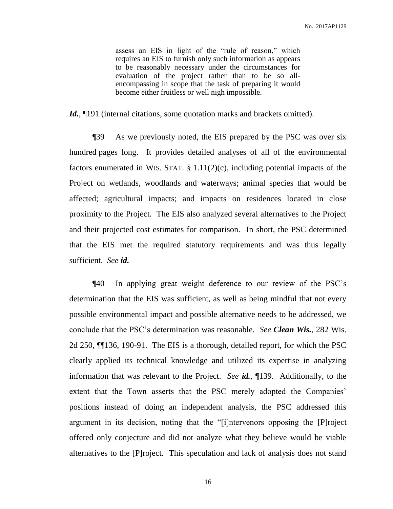assess an EIS in light of the "rule of reason," which requires an EIS to furnish only such information as appears to be reasonably necessary under the circumstances for evaluation of the project rather than to be so allencompassing in scope that the task of preparing it would become either fruitless or well nigh impossible.

Id., [191] (internal citations, some quotation marks and brackets omitted).

¶39 As we previously noted, the EIS prepared by the PSC was over six hundred pages long. It provides detailed analyses of all of the environmental factors enumerated in WIS. STAT.  $\S 1.11(2)(c)$ , including potential impacts of the Project on wetlands, woodlands and waterways; animal species that would be affected; agricultural impacts; and impacts on residences located in close proximity to the Project. The EIS also analyzed several alternatives to the Project and their projected cost estimates for comparison. In short, the PSC determined that the EIS met the required statutory requirements and was thus legally sufficient. *See id.*

¶40 In applying great weight deference to our review of the PSC's determination that the EIS was sufficient, as well as being mindful that not every possible environmental impact and possible alternative needs to be addressed, we conclude that the PSC's determination was reasonable. *See Clean Wis.*, 282 Wis. 2d 250, ¶¶136, 190-91. The EIS is a thorough, detailed report, for which the PSC clearly applied its technical knowledge and utilized its expertise in analyzing information that was relevant to the Project. *See id.*, ¶139. Additionally, to the extent that the Town asserts that the PSC merely adopted the Companies' positions instead of doing an independent analysis, the PSC addressed this argument in its decision, noting that the "[i]ntervenors opposing the [P]roject offered only conjecture and did not analyze what they believe would be viable alternatives to the [P]roject. This speculation and lack of analysis does not stand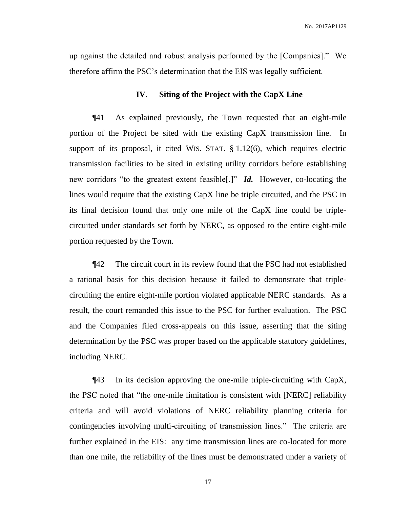up against the detailed and robust analysis performed by the [Companies]." We therefore affirm the PSC's determination that the EIS was legally sufficient.

#### **IV. Siting of the Project with the CapX Line**

¶41 As explained previously, the Town requested that an eight-mile portion of the Project be sited with the existing CapX transmission line. In support of its proposal, it cited WIS. STAT. § 1.12(6), which requires electric transmission facilities to be sited in existing utility corridors before establishing new corridors "to the greatest extent feasible[.]" *Id.* However, co-locating the lines would require that the existing CapX line be triple circuited, and the PSC in its final decision found that only one mile of the CapX line could be triplecircuited under standards set forth by NERC, as opposed to the entire eight-mile portion requested by the Town.

¶42 The circuit court in its review found that the PSC had not established a rational basis for this decision because it failed to demonstrate that triplecircuiting the entire eight-mile portion violated applicable NERC standards. As a result, the court remanded this issue to the PSC for further evaluation. The PSC and the Companies filed cross-appeals on this issue, asserting that the siting determination by the PSC was proper based on the applicable statutory guidelines, including NERC.

¶43 In its decision approving the one-mile triple-circuiting with CapX, the PSC noted that "the one-mile limitation is consistent with [NERC] reliability criteria and will avoid violations of NERC reliability planning criteria for contingencies involving multi-circuiting of transmission lines." The criteria are further explained in the EIS: any time transmission lines are co-located for more than one mile, the reliability of the lines must be demonstrated under a variety of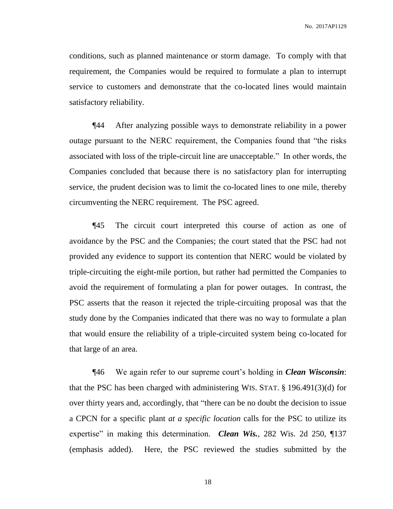conditions, such as planned maintenance or storm damage. To comply with that requirement, the Companies would be required to formulate a plan to interrupt service to customers and demonstrate that the co-located lines would maintain satisfactory reliability.

¶44 After analyzing possible ways to demonstrate reliability in a power outage pursuant to the NERC requirement, the Companies found that "the risks associated with loss of the triple-circuit line are unacceptable." In other words, the Companies concluded that because there is no satisfactory plan for interrupting service, the prudent decision was to limit the co-located lines to one mile, thereby circumventing the NERC requirement. The PSC agreed.

¶45 The circuit court interpreted this course of action as one of avoidance by the PSC and the Companies; the court stated that the PSC had not provided any evidence to support its contention that NERC would be violated by triple-circuiting the eight-mile portion, but rather had permitted the Companies to avoid the requirement of formulating a plan for power outages. In contrast, the PSC asserts that the reason it rejected the triple-circuiting proposal was that the study done by the Companies indicated that there was no way to formulate a plan that would ensure the reliability of a triple-circuited system being co-located for that large of an area.

¶46 We again refer to our supreme court's holding in *Clean Wisconsin*: that the PSC has been charged with administering WIS. STAT. § 196.491(3)(d) for over thirty years and, accordingly, that "there can be no doubt the decision to issue a CPCN for a specific plant *at a specific location* calls for the PSC to utilize its expertise" in making this determination. *Clean Wis.*, 282 Wis. 2d 250, 1137 (emphasis added). Here, the PSC reviewed the studies submitted by the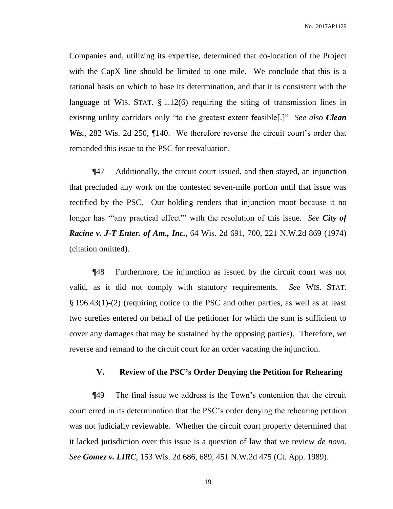Companies and, utilizing its expertise, determined that co-location of the Project with the CapX line should be limited to one mile. We conclude that this is a rational basis on which to base its determination, and that it is consistent with the language of WIS. STAT. § 1.12(6) requiring the siting of transmission lines in existing utility corridors only "to the greatest extent feasible[.]" *See also Clean Wis.*, 282 Wis. 2d 250, ¶140. We therefore reverse the circuit court's order that remanded this issue to the PSC for reevaluation.

¶47 Additionally, the circuit court issued, and then stayed, an injunction that precluded any work on the contested seven-mile portion until that issue was rectified by the PSC. Our holding renders that injunction moot because it no longer has "any practical effect" with the resolution of this issue. *See City of Racine v. J-T Enter. of Am., Inc.*, 64 Wis. 2d 691, 700, 221 N.W.2d 869 (1974) (citation omitted).

¶48 Furthermore, the injunction as issued by the circuit court was not valid, as it did not comply with statutory requirements. *See* WIS. STAT. § 196.43(1)-(2) (requiring notice to the PSC and other parties, as well as at least two sureties entered on behalf of the petitioner for which the sum is sufficient to cover any damages that may be sustained by the opposing parties). Therefore, we reverse and remand to the circuit court for an order vacating the injunction.

### **V. Review of the PSC's Order Denying the Petition for Rehearing**

¶49 The final issue we address is the Town's contention that the circuit court erred in its determination that the PSC's order denying the rehearing petition was not judicially reviewable. Whether the circuit court properly determined that it lacked jurisdiction over this issue is a question of law that we review *de novo*. *See Gomez v. LIRC*, 153 Wis. 2d 686, 689, 451 N.W.2d 475 (Ct. App. 1989).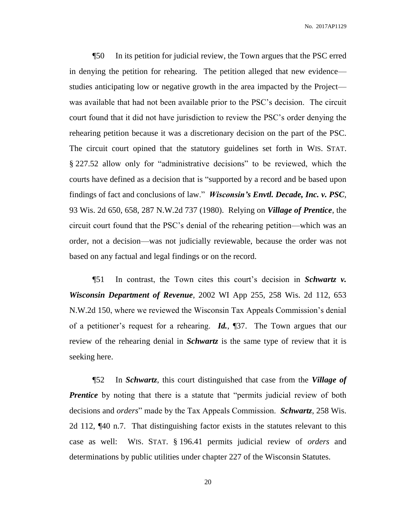¶50 In its petition for judicial review, the Town argues that the PSC erred in denying the petition for rehearing. The petition alleged that new evidence studies anticipating low or negative growth in the area impacted by the Project was available that had not been available prior to the PSC's decision. The circuit court found that it did not have jurisdiction to review the PSC's order denying the rehearing petition because it was a discretionary decision on the part of the PSC. The circuit court opined that the statutory guidelines set forth in WIS. STAT. § 227.52 allow only for "administrative decisions" to be reviewed, which the courts have defined as a decision that is "supported by a record and be based upon findings of fact and conclusions of law." *Wisconsin's Envtl. Decade, Inc. v. PSC*, 93 Wis. 2d 650, 658, 287 N.W.2d 737 (1980). Relying on *Village of Prentice*, the circuit court found that the PSC's denial of the rehearing petition—which was an order, not a decision—was not judicially reviewable, because the order was not based on any factual and legal findings or on the record.

¶51 In contrast, the Town cites this court's decision in *Schwartz v. Wisconsin Department of Revenue*, 2002 WI App 255, 258 Wis. 2d 112, 653 N.W.2d 150, where we reviewed the Wisconsin Tax Appeals Commission's denial of a petitioner's request for a rehearing. *Id.*, ¶37. The Town argues that our review of the rehearing denial in *Schwartz* is the same type of review that it is seeking here.

¶52 In *Schwartz*, this court distinguished that case from the *Village of Prentice* by noting that there is a statute that "permits judicial review of both decisions and *orders*" made by the Tax Appeals Commission. *Schwartz*, 258 Wis. 2d 112, ¶40 n.7. That distinguishing factor exists in the statutes relevant to this case as well: WIS. STAT. § 196.41 permits judicial review of *orders* and determinations by public utilities under chapter 227 of the Wisconsin Statutes.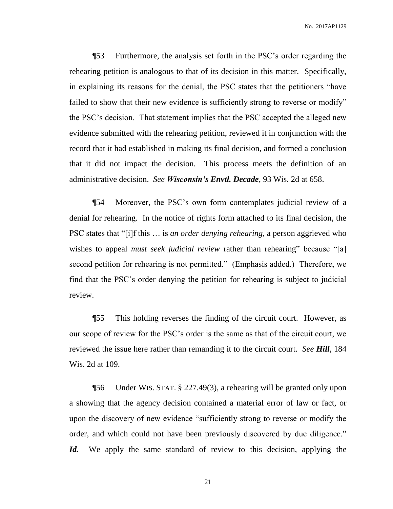¶53 Furthermore, the analysis set forth in the PSC's order regarding the rehearing petition is analogous to that of its decision in this matter. Specifically, in explaining its reasons for the denial, the PSC states that the petitioners "have failed to show that their new evidence is sufficiently strong to reverse or modify" the PSC's decision. That statement implies that the PSC accepted the alleged new evidence submitted with the rehearing petition, reviewed it in conjunction with the record that it had established in making its final decision, and formed a conclusion that it did not impact the decision. This process meets the definition of an administrative decision. *See Wisconsin's Envtl. Decade*, 93 Wis. 2d at 658.

¶54 Moreover, the PSC's own form contemplates judicial review of a denial for rehearing. In the notice of rights form attached to its final decision, the PSC states that "[i]f this … is *an order denying rehearing*, a person aggrieved who wishes to appeal *must seek judicial review* rather than rehearing" because "[a] second petition for rehearing is not permitted." (Emphasis added.) Therefore, we find that the PSC's order denying the petition for rehearing is subject to judicial review.

¶55 This holding reverses the finding of the circuit court. However, as our scope of review for the PSC's order is the same as that of the circuit court, we reviewed the issue here rather than remanding it to the circuit court. *See Hill*, 184 Wis. 2d at 109.

¶56 Under WIS. STAT. § 227.49(3), a rehearing will be granted only upon a showing that the agency decision contained a material error of law or fact, or upon the discovery of new evidence "sufficiently strong to reverse or modify the order, and which could not have been previously discovered by due diligence." Id. We apply the same standard of review to this decision, applying the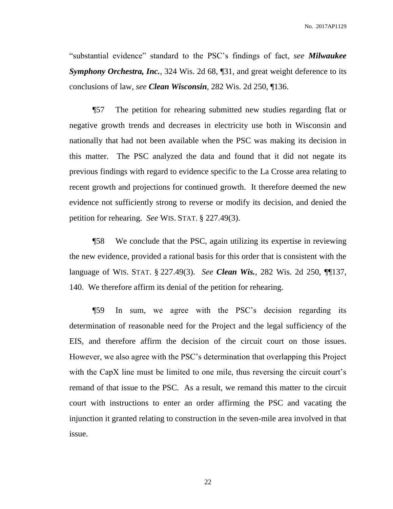"substantial evidence" standard to the PSC's findings of fact, *see Milwaukee Symphony Orchestra, Inc.*, 324 Wis. 2d 68, ¶31, and great weight deference to its conclusions of law, *see Clean Wisconsin*, 282 Wis. 2d 250, ¶136.

¶57 The petition for rehearing submitted new studies regarding flat or negative growth trends and decreases in electricity use both in Wisconsin and nationally that had not been available when the PSC was making its decision in this matter. The PSC analyzed the data and found that it did not negate its previous findings with regard to evidence specific to the La Crosse area relating to recent growth and projections for continued growth. It therefore deemed the new evidence not sufficiently strong to reverse or modify its decision, and denied the petition for rehearing. *See* WIS. STAT. § 227.49(3).

¶58 We conclude that the PSC, again utilizing its expertise in reviewing the new evidence, provided a rational basis for this order that is consistent with the language of WIS. STAT. § 227.49(3). *See Clean Wis.*, 282 Wis. 2d 250, ¶¶137, 140. We therefore affirm its denial of the petition for rehearing.

¶59 In sum, we agree with the PSC's decision regarding its determination of reasonable need for the Project and the legal sufficiency of the EIS, and therefore affirm the decision of the circuit court on those issues. However, we also agree with the PSC's determination that overlapping this Project with the CapX line must be limited to one mile, thus reversing the circuit court's remand of that issue to the PSC. As a result, we remand this matter to the circuit court with instructions to enter an order affirming the PSC and vacating the injunction it granted relating to construction in the seven-mile area involved in that issue.